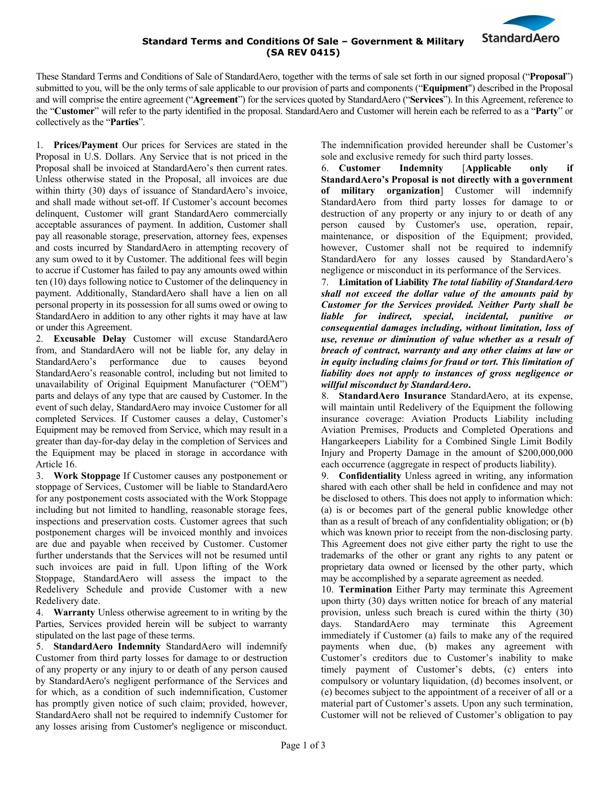

## **Standard Terms and Conditions Of Sale – Government & Military (SA REV 0415)**

These Standard Terms and Conditions of Sale of StandardAero, together with the terms of sale set forth in our signed proposal ("**Proposal**") submitted to you, will be the only terms of sale applicable to our provision of parts and components ("**Equipment**") described in the Proposal and will comprise the entire agreement ("**Agreement**") for the services quoted by StandardAero ("**Services**"). In this Agreement, reference to the "**Customer**" will refer to the party identified in the proposal. StandardAero and Customer will herein each be referred to as a "**Party**" or collectively as the "**Parties**".

1. **Prices/Payment** Our prices for Services are stated in the Proposal in U.S. Dollars. Any Service that is not priced in the Proposal shall be invoiced at StandardAero's then current rates. Unless otherwise stated in the Proposal, all invoices are due within thirty (30) days of issuance of StandardAero's invoice, and shall made without set-off. If Customer's account becomes delinquent, Customer will grant StandardAero commercially acceptable assurances of payment. In addition, Customer shall pay all reasonable storage, preservation, attorney fees, expenses and costs incurred by StandardAero in attempting recovery of any sum owed to it by Customer. The additional fees will begin to accrue if Customer has failed to pay any amounts owed within ten (10) days following notice to Customer of the delinquency in payment. Additionally, StandardAero shall have a lien on all personal property in its possession for all sums owed or owing to StandardAero in addition to any other rights it may have at law or under this Agreement.

2. **Excusable Delay** Customer will excuse StandardAero from, and StandardAero will not be liable for, any delay in StandardAero's performance due to causes beyond StandardAero's reasonable control, including but not limited to unavailability of Original Equipment Manufacturer ("OEM") parts and delays of any type that are caused by Customer. In the event of such delay, StandardAero may invoice Customer for all completed Services. If Customer causes a delay, Customer's Equipment may be removed from Service, which may result in a greater than day-for-day delay in the completion of Services and the Equipment may be placed in storage in accordance with Article 16.

3. **Work Stoppage** If Customer causes any postponement or stoppage of Services, Customer will be liable to StandardAero for any postponement costs associated with the Work Stoppage including but not limited to handling, reasonable storage fees, inspections and preservation costs. Customer agrees that such postponement charges will be invoiced monthly and invoices are due and payable when received by Customer. Customer further understands that the Services will not be resumed until such invoices are paid in full. Upon lifting of the Work Stoppage, StandardAero will assess the impact to the Redelivery Schedule and provide Customer with a new Redelivery date.

4. **Warranty** Unless otherwise agreement to in writing by the Parties, Services provided herein will be subject to warranty stipulated on the last page of these terms.

5. **StandardAero Indemnity** StandardAero will indemnify Customer from third party losses for damage to or destruction of any property or any injury to or death of any person caused by StandardAero's negligent performance of the Services and for which, as a condition of such indemnification, Customer has promptly given notice of such claim; provided, however, StandardAero shall not be required to indemnify Customer for any losses arising from Customer's negligence or misconduct.

The indemnification provided hereunder shall be Customer's sole and exclusive remedy for such third party losses.

6. **Customer Indemnity** [**Applicable only if StandardAero's Proposal is not directly with a government of military organization**] Customer will indemnify StandardAero from third party losses for damage to or destruction of any property or any injury to or death of any person caused by Customer's use, operation, repair, maintenance, or disposition of the Equipment; provided, however, Customer shall not be required to indemnify StandardAero for any losses caused by StandardAero's negligence or misconduct in its performance of the Services.

7. **Limitation of Liability** *The total liability of StandardAero shall not exceed the dollar value of the amounts paid by Customer for the Services provided. Neither Party shall be liable for indirect, special, incidental, punitive or consequential damages including, without limitation, loss of use, revenue or diminution of value whether as a result of breach of contract, warranty and any other claims at law or in equity including claims for fraud or tort. This limitation of liability does not apply to instances of gross negligence or willful misconduct by StandardAero***.** 

8. **StandardAero Insurance** StandardAero, at its expense, will maintain until Redelivery of the Equipment the following insurance coverage: Aviation Products Liability including Aviation Premises, Products and Completed Operations and Hangarkeepers Liability for a Combined Single Limit Bodily Injury and Property Damage in the amount of \$200,000,000 each occurrence (aggregate in respect of products liability).

9. **Confidentiality** Unless agreed in writing, any information shared with each other shall be held in confidence and may not be disclosed to others. This does not apply to information which: (a) is or becomes part of the general public knowledge other than as a result of breach of any confidentiality obligation; or (b) which was known prior to receipt from the non-disclosing party. This Agreement does not give either party the right to use the trademarks of the other or grant any rights to any patent or proprietary data owned or licensed by the other party, which may be accomplished by a separate agreement as needed.

10. **Termination** Either Party may terminate this Agreement upon thirty (30) days written notice for breach of any material provision, unless such breach is cured within the thirty (30) days. StandardAero may terminate this Agreement immediately if Customer (a) fails to make any of the required payments when due, (b) makes any agreement with Customer's creditors due to Customer's inability to make timely payment of Customer's debts, (c) enters into compulsory or voluntary liquidation, (d) becomes insolvent, or (e) becomes subject to the appointment of a receiver of all or a material part of Customer's assets. Upon any such termination, Customer will not be relieved of Customer's obligation to pay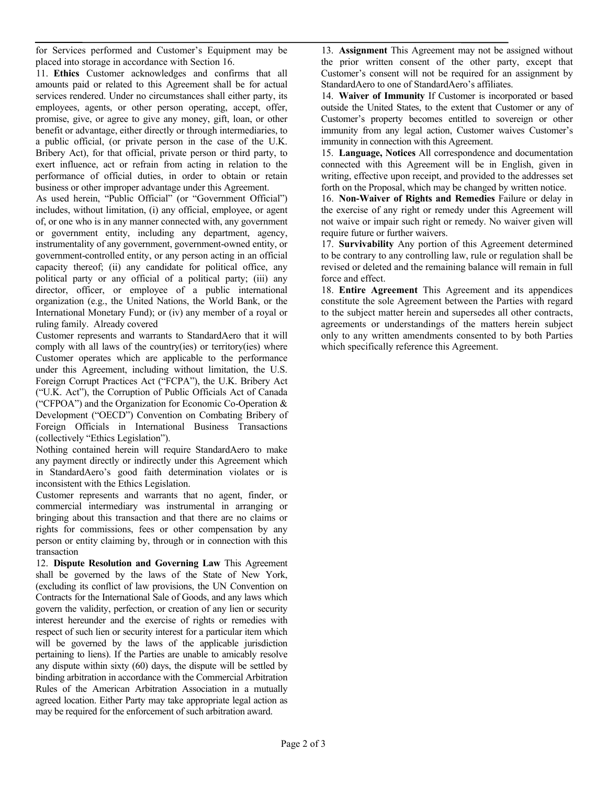for Services performed and Customer's Equipment may be placed into storage in accordance with Section 16.

11. **Ethics** Customer acknowledges and confirms that all amounts paid or related to this Agreement shall be for actual services rendered. Under no circumstances shall either party, its employees, agents, or other person operating, accept, offer, promise, give, or agree to give any money, gift, loan, or other benefit or advantage, either directly or through intermediaries, to a public official, (or private person in the case of the U.K. Bribery Act), for that official, private person or third party, to exert influence, act or refrain from acting in relation to the performance of official duties, in order to obtain or retain business or other improper advantage under this Agreement.

As used herein, "Public Official" (or "Government Official") includes, without limitation, (i) any official, employee, or agent of, or one who is in any manner connected with, any government or government entity, including any department, agency, instrumentality of any government, government-owned entity, or government-controlled entity, or any person acting in an official capacity thereof; (ii) any candidate for political office, any political party or any official of a political party; (iii) any director, officer, or employee of a public international organization (e.g., the United Nations, the World Bank, or the International Monetary Fund); or (iv) any member of a royal or ruling family. Already covered

Customer represents and warrants to StandardAero that it will comply with all laws of the country(ies) or territory(ies) where Customer operates which are applicable to the performance under this Agreement, including without limitation, the U.S. Foreign Corrupt Practices Act ("FCPA"), the U.K. Bribery Act ("U.K. Act"), the Corruption of Public Officials Act of Canada ("CFPOA") and the Organization for Economic Co-Operation & Development ("OECD") Convention on Combating Bribery of Foreign Officials in International Business Transactions (collectively "Ethics Legislation").

Nothing contained herein will require StandardAero to make any payment directly or indirectly under this Agreement which in StandardAero's good faith determination violates or is inconsistent with the Ethics Legislation.

Customer represents and warrants that no agent, finder, or commercial intermediary was instrumental in arranging or bringing about this transaction and that there are no claims or rights for commissions, fees or other compensation by any person or entity claiming by, through or in connection with this transaction

12. **Dispute Resolution and Governing Law** This Agreement shall be governed by the laws of the State of New York, (excluding its conflict of law provisions, the UN Convention on Contracts for the International Sale of Goods, and any laws which govern the validity, perfection, or creation of any lien or security interest hereunder and the exercise of rights or remedies with respect of such lien or security interest for a particular item which will be governed by the laws of the applicable jurisdiction pertaining to liens). If the Parties are unable to amicably resolve any dispute within sixty (60) days, the dispute will be settled by binding arbitration in accordance with the Commercial Arbitration Rules of the American Arbitration Association in a mutually agreed location. Either Party may take appropriate legal action as may be required for the enforcement of such arbitration award.

13. **Assignment** This Agreement may not be assigned without the prior written consent of the other party, except that Customer's consent will not be required for an assignment by StandardAero to one of StandardAero's affiliates.

14. **Waiver of Immunity** If Customer is incorporated or based outside the United States, to the extent that Customer or any of Customer's property becomes entitled to sovereign or other immunity from any legal action, Customer waives Customer's immunity in connection with this Agreement.

15. **Language, Notices** All correspondence and documentation connected with this Agreement will be in English, given in writing, effective upon receipt, and provided to the addresses set forth on the Proposal, which may be changed by written notice.

16. **Non-Waiver of Rights and Remedies** Failure or delay in the exercise of any right or remedy under this Agreement will not waive or impair such right or remedy. No waiver given will require future or further waivers.

17. **Survivability** Any portion of this Agreement determined to be contrary to any controlling law, rule or regulation shall be revised or deleted and the remaining balance will remain in full force and effect.

18. **Entire Agreement** This Agreement and its appendices constitute the sole Agreement between the Parties with regard to the subject matter herein and supersedes all other contracts, agreements or understandings of the matters herein subject only to any written amendments consented to by both Parties which specifically reference this Agreement.